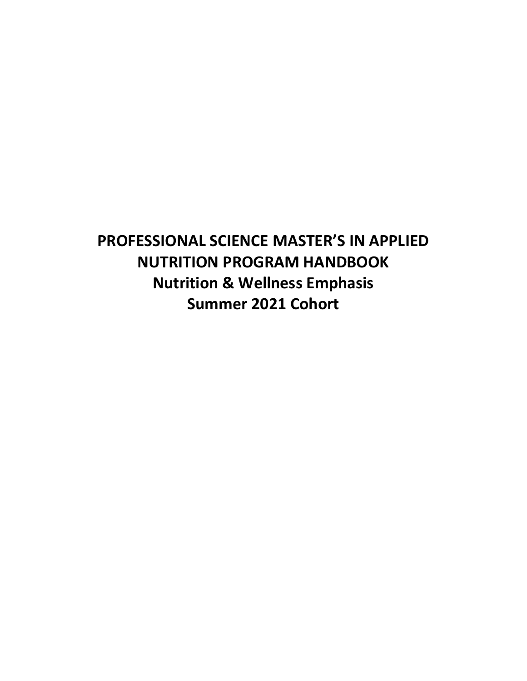**PROFESSIONAL SCIENCE MASTER'S IN APPLIED NUTRITION PROGRAM HANDBOOK Nutrition & Wellness Emphasis Summer 2021 Cohort**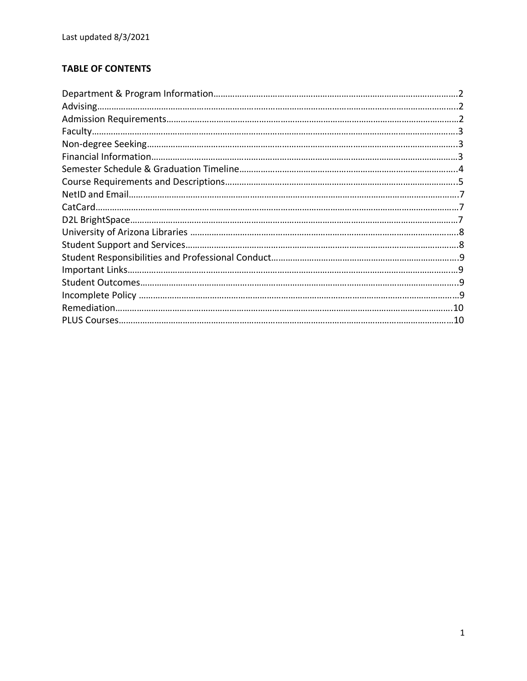# **TABLE OF CONTENTS**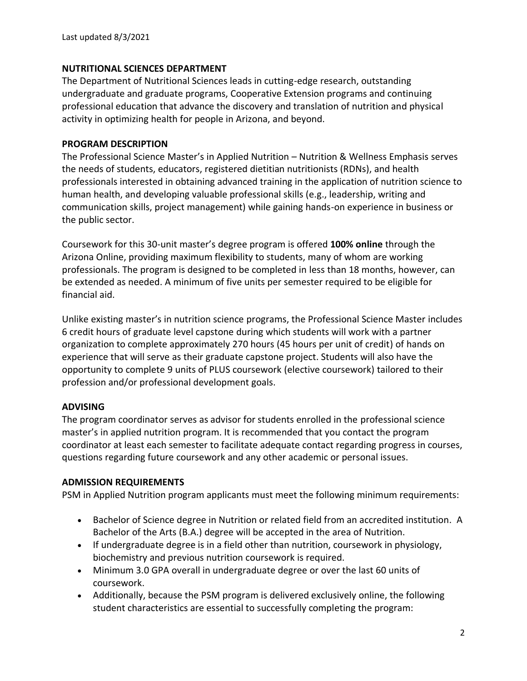### **NUTRITIONAL SCIENCES DEPARTMENT**

The Department of Nutritional Sciences leads in cutting-edge research, outstanding undergraduate and graduate programs, Cooperative Extension programs and continuing professional education that advance the discovery and translation of nutrition and physical activity in optimizing health for people in Arizona, and beyond.

### **PROGRAM DESCRIPTION**

The Professional Science Master's in Applied Nutrition – Nutrition & Wellness Emphasis serves the needs of students, educators, registered dietitian nutritionists (RDNs), and health professionals interested in obtaining advanced training in the application of nutrition science to human health, and developing valuable professional skills (e.g., leadership, writing and communication skills, project management) while gaining hands-on experience in business or the public sector.

Coursework for this 30-unit master's degree program is offered **100% online** through the Arizona Online, providing maximum flexibility to students, many of whom are working professionals. The program is designed to be completed in less than 18 months, however, can be extended as needed. A minimum of five units per semester required to be eligible for financial aid.

Unlike existing master's in nutrition science programs, the Professional Science Master includes 6 credit hours of graduate level capstone during which students will work with a partner organization to complete approximately 270 hours (45 hours per unit of credit) of hands on experience that will serve as their graduate capstone project. Students will also have the opportunity to complete 9 units of PLUS coursework (elective coursework) tailored to their profession and/or professional development goals.

# **ADVISING**

The program coordinator serves as advisor for students enrolled in the professional science master's in applied nutrition program. It is recommended that you contact the program coordinator at least each semester to facilitate adequate contact regarding progress in courses, questions regarding future coursework and any other academic or personal issues.

#### **ADMISSION REQUIREMENTS**

PSM in Applied Nutrition program applicants must meet the following minimum requirements:

- Bachelor of Science degree in Nutrition or related field from an accredited institution. A Bachelor of the Arts (B.A.) degree will be accepted in the area of Nutrition.
- If undergraduate degree is in a field other than nutrition, coursework in physiology, biochemistry and previous nutrition coursework is required.
- Minimum 3.0 GPA overall in undergraduate degree or over the last 60 units of coursework.
- Additionally, because the PSM program is delivered exclusively online, the following student characteristics are essential to successfully completing the program: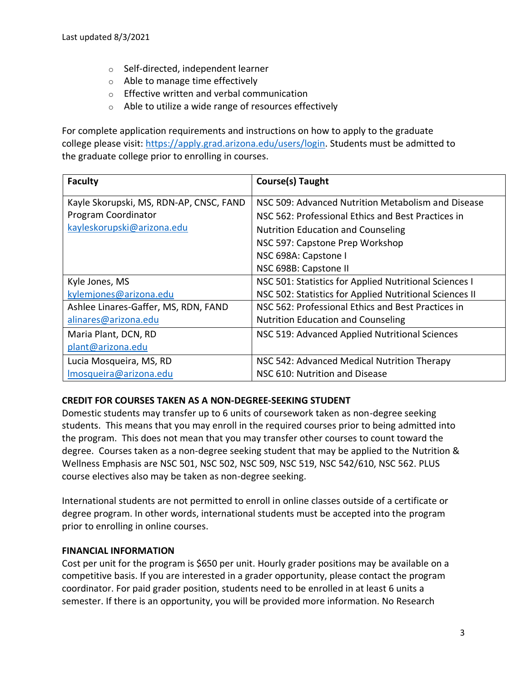- o Self-directed, independent learner
- o Able to manage time effectively
- o Effective written and verbal communication
- o Able to utilize a wide range of resources effectively

For complete application requirements and instructions on how to apply to the graduate college please visit: [https://apply.grad.arizona.edu/users/login.](https://apply.grad.arizona.edu/users/login) Students must be admitted to the graduate college prior to enrolling in courses.

| <b>Faculty</b>                          | <b>Course(s) Taught</b>                                 |
|-----------------------------------------|---------------------------------------------------------|
| Kayle Skorupski, MS, RDN-AP, CNSC, FAND | NSC 509: Advanced Nutrition Metabolism and Disease      |
| Program Coordinator                     | NSC 562: Professional Ethics and Best Practices in      |
| kayleskorupski@arizona.edu              | <b>Nutrition Education and Counseling</b>               |
|                                         | NSC 597: Capstone Prep Workshop                         |
|                                         | NSC 698A: Capstone I                                    |
|                                         | NSC 698B: Capstone II                                   |
| Kyle Jones, MS                          | NSC 501: Statistics for Applied Nutritional Sciences I  |
| kylemjones@arizona.edu                  | NSC 502: Statistics for Applied Nutritional Sciences II |
| Ashlee Linares-Gaffer, MS, RDN, FAND    | NSC 562: Professional Ethics and Best Practices in      |
| alinares@arizona.edu                    | <b>Nutrition Education and Counseling</b>               |
| Maria Plant, DCN, RD                    | NSC 519: Advanced Applied Nutritional Sciences          |
| plant@arizona.edu                       |                                                         |
| Lucia Mosqueira, MS, RD                 | NSC 542: Advanced Medical Nutrition Therapy             |
| Imosqueira@arizona.edu                  | NSC 610: Nutrition and Disease                          |

# **CREDIT FOR COURSES TAKEN AS A NON-DEGREE-SEEKING STUDENT**

Domestic students may transfer up to 6 units of coursework taken as non-degree seeking students. This means that you may enroll in the required courses prior to being admitted into the program. This does not mean that you may transfer other courses to count toward the degree. Courses taken as a non-degree seeking student that may be applied to the Nutrition & Wellness Emphasis are NSC 501, NSC 502, NSC 509, NSC 519, NSC 542/610, NSC 562. PLUS course electives also may be taken as non-degree seeking.

International students are not permitted to enroll in online classes outside of a certificate or degree program. In other words, international students must be accepted into the program prior to enrolling in online courses.

#### **FINANCIAL INFORMATION**

Cost per unit for the program is \$650 per unit. Hourly grader positions may be available on a competitive basis. If you are interested in a grader opportunity, please contact the program coordinator. For paid grader position, students need to be enrolled in at least 6 units a semester. If there is an opportunity, you will be provided more information. No Research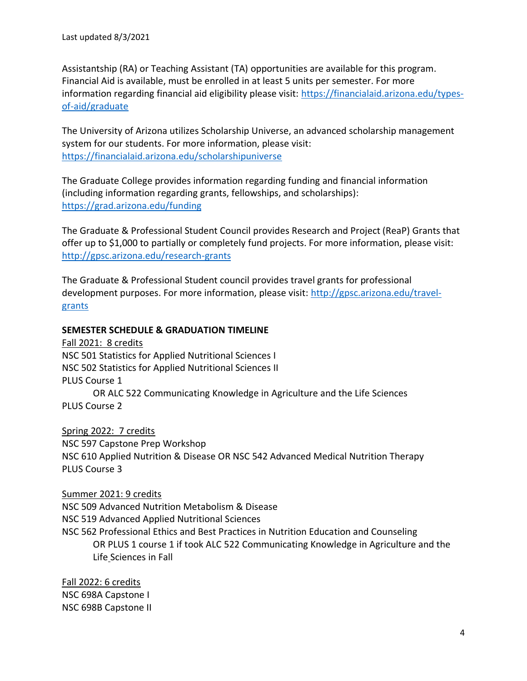Assistantship (RA) or Teaching Assistant (TA) opportunities are available for this program. Financial Aid is available, must be enrolled in at least 5 units per semester. For more information regarding financial aid eligibility please visit: [https://financialaid.arizona.edu/types](https://financialaid.arizona.edu/types-of-aid/graduate)[of-aid/graduate](https://financialaid.arizona.edu/types-of-aid/graduate)

The University of Arizona utilizes Scholarship Universe, an advanced scholarship management system for our students. For more information, please visit: <https://financialaid.arizona.edu/scholarshipuniverse>

The Graduate College provides information regarding funding and financial information (including information regarding grants, fellowships, and scholarships): <https://grad.arizona.edu/funding>

The Graduate & Professional Student Council provides Research and Project (ReaP) Grants that offer up to \$1,000 to partially or completely fund projects. For more information, please visit: <http://gpsc.arizona.edu/research-grants>

The Graduate & Professional Student council provides travel grants for professional development purposes. For more information, please visit: [http://gpsc.arizona.edu/travel](http://gpsc.arizona.edu/travel-grants)[grants](http://gpsc.arizona.edu/travel-grants)

#### **SEMESTER SCHEDULE & GRADUATION TIMELINE**

Fall 2021: 8 credits NSC 501 Statistics for Applied Nutritional Sciences I NSC 502 Statistics for Applied Nutritional Sciences II PLUS Course 1 OR ALC 522 Communicating Knowledge in Agriculture and the Life Sciences PLUS Course 2

Spring 2022: 7 credits NSC 597 Capstone Prep Workshop NSC 610 Applied Nutrition & Disease OR NSC 542 Advanced Medical Nutrition Therapy PLUS Course 3

Summer 2021: 9 credits NSC 509 Advanced Nutrition Metabolism & Disease NSC 519 Advanced Applied Nutritional Sciences NSC 562 Professional Ethics and Best Practices in Nutrition Education and Counseling OR PLUS 1 course 1 if took ALC 522 Communicating Knowledge in Agriculture and the Life Sciences in Fall

Fall 2022: 6 credits NSC 698A Capstone I NSC 698B Capstone II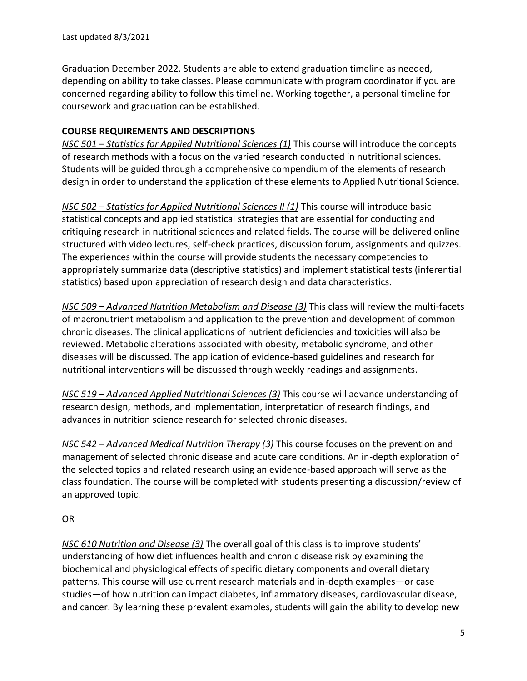Graduation December 2022. Students are able to extend graduation timeline as needed, depending on ability to take classes. Please communicate with program coordinator if you are concerned regarding ability to follow this timeline. Working together, a personal timeline for coursework and graduation can be established.

### **COURSE REQUIREMENTS AND DESCRIPTIONS**

*NSC 501 – Statistics for Applied Nutritional Sciences (1)* This course will introduce the concepts of research methods with a focus on the varied research conducted in nutritional sciences. Students will be guided through a comprehensive compendium of the elements of research design in order to understand the application of these elements to Applied Nutritional Science.

*NSC 502 – Statistics for Applied Nutritional Sciences II (1)* This course will introduce basic statistical concepts and applied statistical strategies that are essential for conducting and critiquing research in nutritional sciences and related fields. The course will be delivered online structured with video lectures, self-check practices, discussion forum, assignments and quizzes. The experiences within the course will provide students the necessary competencies to appropriately summarize data (descriptive statistics) and implement statistical tests (inferential statistics) based upon appreciation of research design and data characteristics.

*NSC 509 – Advanced Nutrition Metabolism and Disease (3)* This class will review the multi-facets of macronutrient metabolism and application to the prevention and development of common chronic diseases. The clinical applications of nutrient deficiencies and toxicities will also be reviewed. Metabolic alterations associated with obesity, metabolic syndrome, and other diseases will be discussed. The application of evidence-based guidelines and research for nutritional interventions will be discussed through weekly readings and assignments.

*NSC 519 – Advanced Applied Nutritional Sciences (3)* This course will advance understanding of research design, methods, and implementation, interpretation of research findings, and advances in nutrition science research for selected chronic diseases.

*NSC 542 – Advanced Medical Nutrition Therapy (3)* This course focuses on the prevention and management of selected chronic disease and acute care conditions. An in-depth exploration of the selected topics and related research using an evidence-based approach will serve as the class foundation. The course will be completed with students presenting a discussion/review of an approved topic.

#### OR

*NSC 610 Nutrition and Disease (3)* The overall goal of this class is to improve students' understanding of how diet influences health and chronic disease risk by examining the biochemical and physiological effects of specific dietary components and overall dietary patterns. This course will use current research materials and in-depth examples—or case studies—of how nutrition can impact diabetes, inflammatory diseases, cardiovascular disease, and cancer. By learning these prevalent examples, students will gain the ability to develop new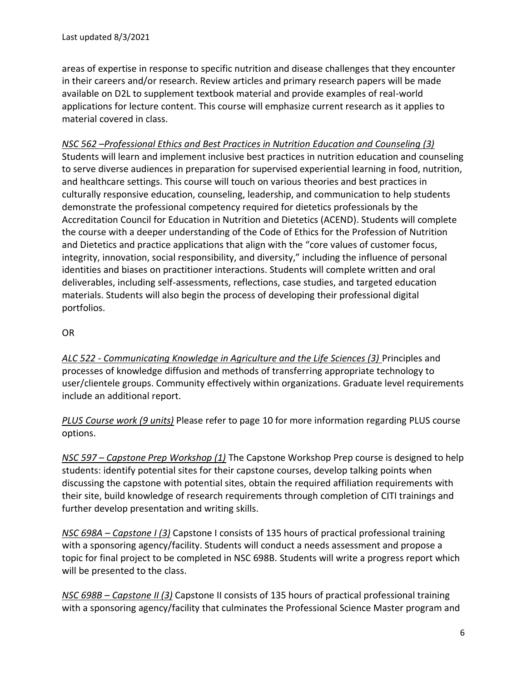areas of expertise in response to specific nutrition and disease challenges that they encounter in their careers and/or research. Review articles and primary research papers will be made available on D2L to supplement textbook material and provide examples of real-world applications for lecture content. This course will emphasize current research as it applies to material covered in class.

*NSC 562 –Professional Ethics and Best Practices in Nutrition Education and Counseling (3)* Students will learn and implement inclusive best practices in nutrition education and counseling to serve diverse audiences in preparation for supervised experiential learning in food, nutrition, and healthcare settings. This course will touch on various theories and best practices in culturally responsive education, counseling, leadership, and communication to help students demonstrate the professional competency required for dietetics professionals by the Accreditation Council for Education in Nutrition and Dietetics (ACEND). Students will complete the course with a deeper understanding of the Code of Ethics for the Profession of Nutrition and Dietetics and practice applications that align with the "core values of customer focus, integrity, innovation, social responsibility, and diversity," including the influence of personal identities and biases on practitioner interactions. Students will complete written and oral deliverables, including self-assessments, reflections, case studies, and targeted education materials. Students will also begin the process of developing their professional digital portfolios.

# OR

*ALC 522 - Communicating Knowledge in Agriculture and the Life Sciences (3)* Principles and processes of knowledge diffusion and methods of transferring appropriate technology to user/clientele groups. Community effectively within organizations. Graduate level requirements include an additional report.

*PLUS Course work (9 units)* Please refer to page 10 for more information regarding PLUS course options.

*NSC 597 – Capstone Prep Workshop (1)* The Capstone Workshop Prep course is designed to help students: identify potential sites for their capstone courses, develop talking points when discussing the capstone with potential sites, obtain the required affiliation requirements with their site, build knowledge of research requirements through completion of CITI trainings and further develop presentation and writing skills.

*NSC 698A – Capstone I (3)* Capstone I consists of 135 hours of practical professional training with a sponsoring agency/facility. Students will conduct a needs assessment and propose a topic for final project to be completed in NSC 698B. Students will write a progress report which will be presented to the class.

*NSC 698B – Capstone II (3)* Capstone II consists of 135 hours of practical professional training with a sponsoring agency/facility that culminates the Professional Science Master program and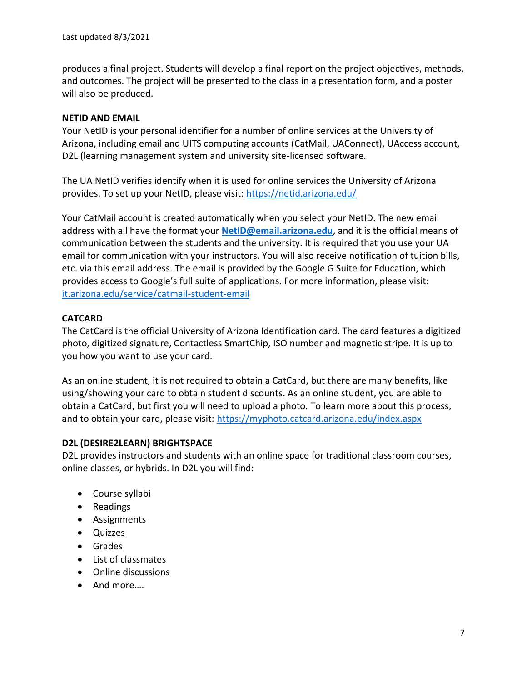produces a final project. Students will develop a final report on the project objectives, methods, and outcomes. The project will be presented to the class in a presentation form, and a poster will also be produced.

# **NETID AND EMAIL**

Your NetID is your personal identifier for a number of online services at the University of Arizona, including email and UITS computing accounts (CatMail, UAConnect), UAccess account, D2L (learning management system and university site-licensed software.

The UA NetID verifies identify when it is used for online services the University of Arizona provides. To set up your NetID, please visit:<https://netid.arizona.edu/>

Your CatMail account is created automatically when you select your NetID. The new email address with all have the format your **[NetID@email.arizona.edu](mailto:NetID@email.arizona.edu)**, and it is the official means of communication between the students and the university. It is required that you use your UA email for communication with your instructors. You will also receive notification of tuition bills, etc. via this email address. The email is provided by the Google G Suite for Education, which provides access to Google's full suite of applications. For more information, please visit: [it.arizona.edu/service/catmail-student-email](https://it.arizona.edu/service/catmail-student-email)

# **CATCARD**

The CatCard is the official University of Arizona Identification card. The card features a digitized photo, digitized signature, Contactless SmartChip, ISO number and magnetic stripe. It is up to you how you want to use your card.

As an online student, it is not required to obtain a CatCard, but there are many benefits, like using/showing your card to obtain student discounts. As an online student, you are able to obtain a CatCard, but first you will need to upload a photo. To learn more about this process, and to obtain your card, please visit:<https://myphoto.catcard.arizona.edu/index.aspx>

# **D2L (DESIRE2LEARN) BRIGHTSPACE**

D2L provides instructors and students with an online space for traditional classroom courses, online classes, or hybrids. In D2L you will find:

- Course syllabi
- Readings
- Assignments
- Quizzes
- Grades
- List of classmates
- Online discussions
- And more….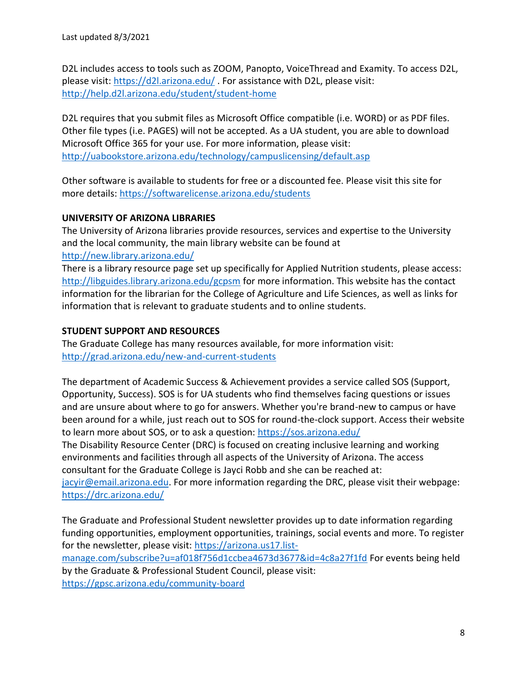D2L includes access to tools such as ZOOM, Panopto, VoiceThread and Examity. To access D2L, please visit[: https://d2l.arizona.edu/](https://d2l.arizona.edu/) . For assistance with D2L, please visit: <http://help.d2l.arizona.edu/student/student-home>

D2L requires that you submit files as Microsoft Office compatible (i.e. WORD) or as PDF files. Other file types (i.e. PAGES) will not be accepted. As a UA student, you are able to download Microsoft Office 365 for your use. For more information, please visit: <http://uabookstore.arizona.edu/technology/campuslicensing/default.asp>

Other software is available to students for free or a discounted fee. Please visit this site for more details:<https://softwarelicense.arizona.edu/students>

# **UNIVERSITY OF ARIZONA LIBRARIES**

The University of Arizona libraries provide resources, services and expertise to the University and the local community, the main library website can be found at <http://new.library.arizona.edu/>

There is a library resource page set up specifically for Applied Nutrition students, please access: <http://libguides.library.arizona.edu/gcpsm> for more information. This website has the contact information for the librarian for the College of Agriculture and Life Sciences, as well as links for information that is relevant to graduate students and to online students.

# **STUDENT SUPPORT AND RESOURCES**

The Graduate College has many resources available, for more information visit: <http://grad.arizona.edu/new-and-current-students>

The department of Academic Success & Achievement provides a service called SOS (Support, Opportunity, Success). SOS is for UA students who find themselves facing questions or issues and are unsure about where to go for answers. Whether you're brand-new to campus or have been around for a while, just reach out to SOS for round-the-clock support. Access their website to learn more about SOS, or to ask a question:<https://sos.arizona.edu/>

The Disability Resource Center (DRC) is focused on creating inclusive learning and working environments and facilities through all aspects of the University of Arizona. The access consultant for the Graduate College is Jayci Robb and she can be reached at:

[jacyir@email.arizona.edu.](mailto:jacyir@email.arizona.edu) For more information regarding the DRC, please visit their webpage: <https://drc.arizona.edu/>

The Graduate and Professional Student newsletter provides up to date information regarding funding opportunities, employment opportunities, trainings, social events and more. To register for the newsletter, please visit: [https://arizona.us17.list-](https://arizona.us17.list-manage.com/subscribe?u=af018f756d1ccbea4673d3677&id=4c8a27f1fd)

[manage.com/subscribe?u=af018f756d1ccbea4673d3677&id=4c8a27f1fd](https://arizona.us17.list-manage.com/subscribe?u=af018f756d1ccbea4673d3677&id=4c8a27f1fd) For events being held by the Graduate & Professional Student Council, please visit: <https://gpsc.arizona.edu/community-board>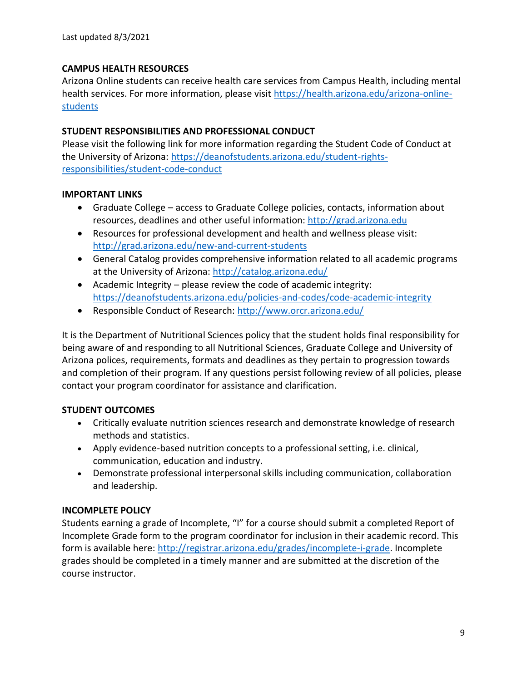### **CAMPUS HEALTH RESOURCES**

Arizona Online students can receive health care services from Campus Health, including mental health services. For more information, please visit [https://health.arizona.edu/arizona-online](https://health.arizona.edu/arizona-online-students)[students](https://health.arizona.edu/arizona-online-students)

### **STUDENT RESPONSIBILITIES AND PROFESSIONAL CONDUCT**

Please visit the following link for more information regarding the Student Code of Conduct at the University of Arizona: [https://deanofstudents.arizona.edu/student-rights](https://deanofstudents.arizona.edu/student-rights-responsibilities/student-code-conduct)[responsibilities/student-code-conduct](https://deanofstudents.arizona.edu/student-rights-responsibilities/student-code-conduct)

#### **IMPORTANT LINKS**

- Graduate College access to Graduate College policies, contacts, information about resources, deadlines and other useful information: [http://grad.arizona.edu](http://grad.arizona.edu/)
- Resources for professional development and health and wellness please visit: <http://grad.arizona.edu/new-and-current-students>
- General Catalog provides comprehensive information related to all academic programs at the University of Arizona:<http://catalog.arizona.edu/>
- Academic Integrity please review the code of academic integrity: <https://deanofstudents.arizona.edu/policies-and-codes/code-academic-integrity>
- Responsible Conduct of Research:<http://www.orcr.arizona.edu/>

It is the Department of Nutritional Sciences policy that the student holds final responsibility for being aware of and responding to all Nutritional Sciences, Graduate College and University of Arizona polices, requirements, formats and deadlines as they pertain to progression towards and completion of their program. If any questions persist following review of all policies, please contact your program coordinator for assistance and clarification.

#### **STUDENT OUTCOMES**

- Critically evaluate nutrition sciences research and demonstrate knowledge of research methods and statistics.
- Apply evidence-based nutrition concepts to a professional setting, i.e. clinical, communication, education and industry.
- Demonstrate professional interpersonal skills including communication, collaboration and leadership.

# **INCOMPLETE POLICY**

Students earning a grade of Incomplete, "I" for a course should submit a completed Report of Incomplete Grade form to the program coordinator for inclusion in their academic record. This form is available here: [http://registrar.arizona.edu/grades/incomplete-i-grade.](http://registrar.arizona.edu/grades/incomplete-i-grade) Incomplete grades should be completed in a timely manner and are submitted at the discretion of the course instructor.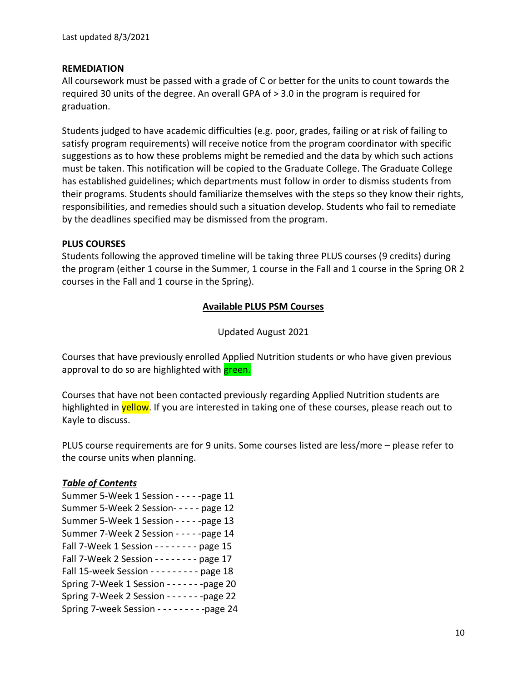#### **REMEDIATION**

All coursework must be passed with a grade of C or better for the units to count towards the required 30 units of the degree. An overall GPA of > 3.0 in the program is required for graduation.

Students judged to have academic difficulties (e.g. poor, grades, failing or at risk of failing to satisfy program requirements) will receive notice from the program coordinator with specific suggestions as to how these problems might be remedied and the data by which such actions must be taken. This notification will be copied to the Graduate College. The Graduate College has established guidelines; which departments must follow in order to dismiss students from their programs. Students should familiarize themselves with the steps so they know their rights, responsibilities, and remedies should such a situation develop. Students who fail to remediate by the deadlines specified may be dismissed from the program.

#### **PLUS COURSES**

Students following the approved timeline will be taking three PLUS courses (9 credits) during the program (either 1 course in the Summer, 1 course in the Fall and 1 course in the Spring OR 2 courses in the Fall and 1 course in the Spring).

#### **Available PLUS PSM Courses**

Updated August 2021

Courses that have previously enrolled Applied Nutrition students or who have given previous approval to do so are highlighted with green.

Courses that have not been contacted previously regarding Applied Nutrition students are highlighted in **yellow**. If you are interested in taking one of these courses, please reach out to Kayle to discuss.

PLUS course requirements are for 9 units. Some courses listed are less/more – please refer to the course units when planning.

#### *Table of Contents*

| Summer 5-Week 1 Session - - - - - page 11       |
|-------------------------------------------------|
| Summer 5-Week 2 Session- - - - - page 12        |
| Summer 5-Week 1 Session - - - - - page 13       |
| Summer 7-Week 2 Session - - - - - page 14       |
| Fall 7-Week 1 Session - - - - - - - - page 15   |
| Fall 7-Week 2 Session - - - - - - - - page 17   |
| Fall 15-week Session - - - - - - - - - page 18  |
| Spring 7-Week 1 Session - - - - - - - - page 20 |
| Spring 7-Week 2 Session - - - - - - - - page 22 |
| Spring 7-week Session - - - - - - - - - page 24 |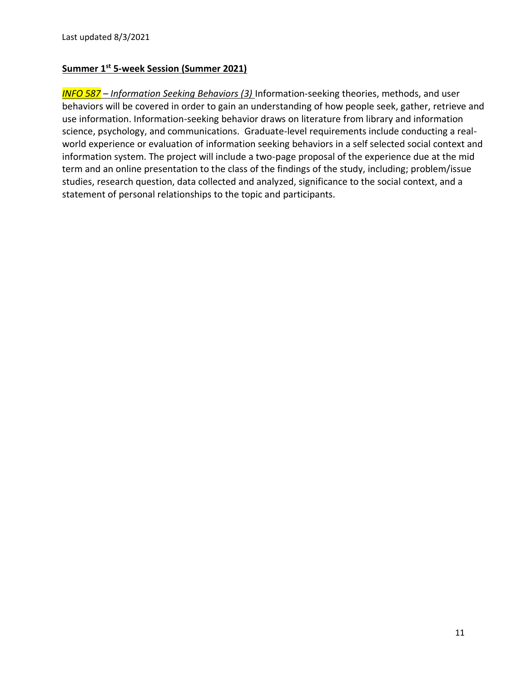### **Summer 1st 5-week Session (Summer 2021)**

*INFO 587 – Information Seeking Behaviors (3)* Information-seeking theories, methods, and user behaviors will be covered in order to gain an understanding of how people seek, gather, retrieve and use information. Information-seeking behavior draws on literature from library and information science, psychology, and communications. Graduate-level requirements include conducting a realworld experience or evaluation of information seeking behaviors in a self selected social context and information system. The project will include a two-page proposal of the experience due at the mid term and an online presentation to the class of the findings of the study, including; problem/issue studies, research question, data collected and analyzed, significance to the social context, and a statement of personal relationships to the topic and participants.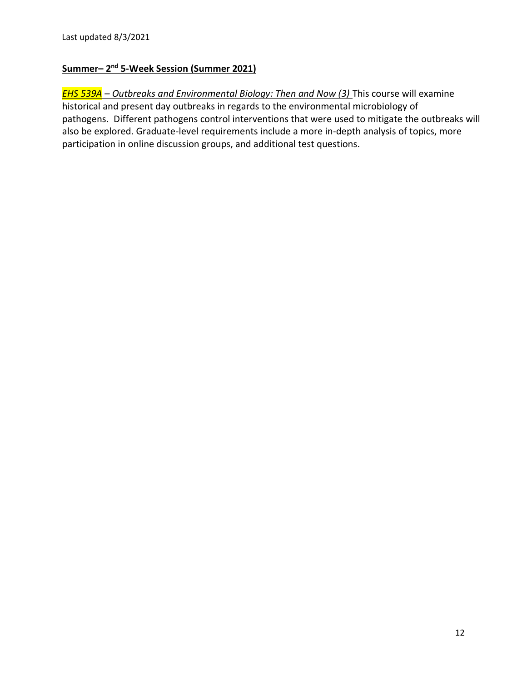# **Summer– 2 nd 5-Week Session (Summer 2021)**

*EHS 539A – Outbreaks and Environmental Biology: Then and Now (3)* This course will examine historical and present day outbreaks in regards to the environmental microbiology of pathogens. Different pathogens control interventions that were used to mitigate the outbreaks will also be explored. Graduate-level requirements include a more in-depth analysis of topics, more participation in online discussion groups, and additional test questions.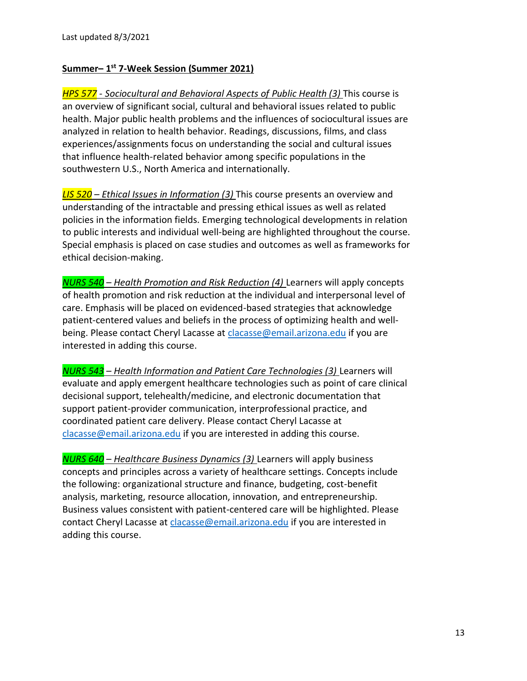# **Summer– 1 st 7-Week Session (Summer 2021)**

*HPS 577 - Sociocultural and Behavioral Aspects of Public Health (3)* This course is an overview of significant social, cultural and behavioral issues related to public health. Major public health problems and the influences of sociocultural issues are analyzed in relation to health behavior. Readings, discussions, films, and class experiences/assignments focus on understanding the social and cultural issues that influence health-related behavior among specific populations in the southwestern U.S., North America and internationally.

*LIS 520 – Ethical Issues in Information (3)* This course presents an overview and understanding of the intractable and pressing ethical issues as well as related policies in the information fields. Emerging technological developments in relation to public interests and individual well-being are highlighted throughout the course. Special emphasis is placed on case studies and outcomes as well as frameworks for ethical decision-making.

*NURS 540 – Health Promotion and Risk Reduction (4)* Learners will apply concepts of health promotion and risk reduction at the individual and interpersonal level of care. Emphasis will be placed on evidenced-based strategies that acknowledge patient-centered values and beliefs in the process of optimizing health and wellbeing. Please contact Cheryl Lacasse at [clacasse@email.arizona.edu](mailto:clacasse@email.arizona.edu) if you are interested in adding this course.

*NURS 543 – Health Information and Patient Care Technologies (3)* Learners will evaluate and apply emergent healthcare technologies such as point of care clinical decisional support, telehealth/medicine, and electronic documentation that support patient-provider communication, interprofessional practice, and coordinated patient care delivery. Please contact Cheryl Lacasse at [clacasse@email.arizona.edu](mailto:clacasse@email.arizona.edu) if you are interested in adding this course.

*NURS 640 – Healthcare Business Dynamics (3)* Learners will apply business concepts and principles across a variety of healthcare settings. Concepts include the following: organizational structure and finance, budgeting, cost-benefit analysis, marketing, resource allocation, innovation, and entrepreneurship. Business values consistent with patient-centered care will be highlighted. Please contact Cheryl Lacasse at [clacasse@email.arizona.edu](mailto:clacasse@email.arizona.edu) if you are interested in adding this course.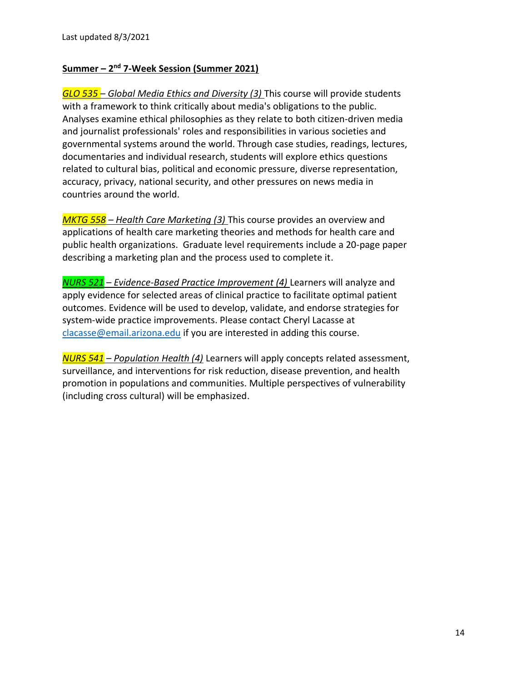# **Summer – 2 nd 7-Week Session (Summer 2021)**

*GLO 535 – Global Media Ethics and Diversity (3)* This course will provide students with a framework to think critically about media's obligations to the public. Analyses examine ethical philosophies as they relate to both citizen-driven media and journalist professionals' roles and responsibilities in various societies and governmental systems around the world. Through case studies, readings, lectures, documentaries and individual research, students will explore ethics questions related to cultural bias, political and economic pressure, diverse representation, accuracy, privacy, national security, and other pressures on news media in countries around the world.

*MKTG 558 – Health Care Marketing (3)* This course provides an overview and applications of health care marketing theories and methods for health care and public health organizations. Graduate level requirements include a 20-page paper describing a marketing plan and the process used to complete it.

*NURS 521 – Evidence-Based Practice Improvement (4)* Learners will analyze and apply evidence for selected areas of clinical practice to facilitate optimal patient outcomes. Evidence will be used to develop, validate, and endorse strategies for system-wide practice improvements. Please contact Cheryl Lacasse at [clacasse@email.arizona.edu](mailto:clacasse@email.arizona.edu) if you are interested in adding this course.

*NURS 541 – Population Health (4)* Learners will apply concepts related assessment, surveillance, and interventions for risk reduction, disease prevention, and health promotion in populations and communities. Multiple perspectives of vulnerability (including cross cultural) will be emphasized.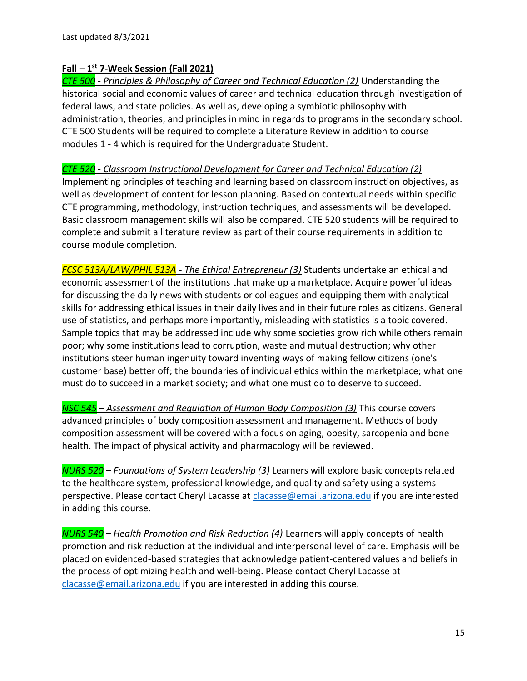### **Fall – 1 st 7-Week Session (Fall 2021)**

*CTE 500 - Principles & Philosophy of Career and Technical Education (2)* Understanding the historical social and economic values of career and technical education through investigation of federal laws, and state policies. As well as, developing a symbiotic philosophy with administration, theories, and principles in mind in regards to programs in the secondary school. CTE 500 Students will be required to complete a Literature Review in addition to course modules 1 - 4 which is required for the Undergraduate Student.

*CTE 520 - Classroom Instructional Development for Career and Technical Education (2)* Implementing principles of teaching and learning based on classroom instruction objectives, as well as development of content for lesson planning. Based on contextual needs within specific CTE programming, methodology, instruction techniques, and assessments will be developed. Basic classroom management skills will also be compared. CTE 520 students will be required to complete and submit a literature review as part of their course requirements in addition to course module completion.

*FCSC 513A/LAW/PHIL 513A - The Ethical Entrepreneur (3)* Students undertake an ethical and economic assessment of the institutions that make up a marketplace. Acquire powerful ideas for discussing the daily news with students or colleagues and equipping them with analytical skills for addressing ethical issues in their daily lives and in their future roles as citizens. General use of statistics, and perhaps more importantly, misleading with statistics is a topic covered. Sample topics that may be addressed include why some societies grow rich while others remain poor; why some institutions lead to corruption, waste and mutual destruction; why other institutions steer human ingenuity toward inventing ways of making fellow citizens (one's customer base) better off; the boundaries of individual ethics within the marketplace; what one must do to succeed in a market society; and what one must do to deserve to succeed.

*NSC 545 – Assessment and Regulation of Human Body Composition (3)* This course covers advanced principles of body composition assessment and management. Methods of body composition assessment will be covered with a focus on aging, obesity, sarcopenia and bone health. The impact of physical activity and pharmacology will be reviewed.

*NURS 520 – Foundations of System Leadership (3)* Learners will explore basic concepts related to the healthcare system, professional knowledge, and quality and safety using a systems perspective. Please contact Cheryl Lacasse a[t clacasse@email.arizona.edu](mailto:clacasse@email.arizona.edu) if you are interested in adding this course.

*NURS 540 – Health Promotion and Risk Reduction (4)* Learners will apply concepts of health promotion and risk reduction at the individual and interpersonal level of care. Emphasis will be placed on evidenced-based strategies that acknowledge patient-centered values and beliefs in the process of optimizing health and well-being. Please contact Cheryl Lacasse at [clacasse@email.arizona.edu](mailto:clacasse@email.arizona.edu) if you are interested in adding this course.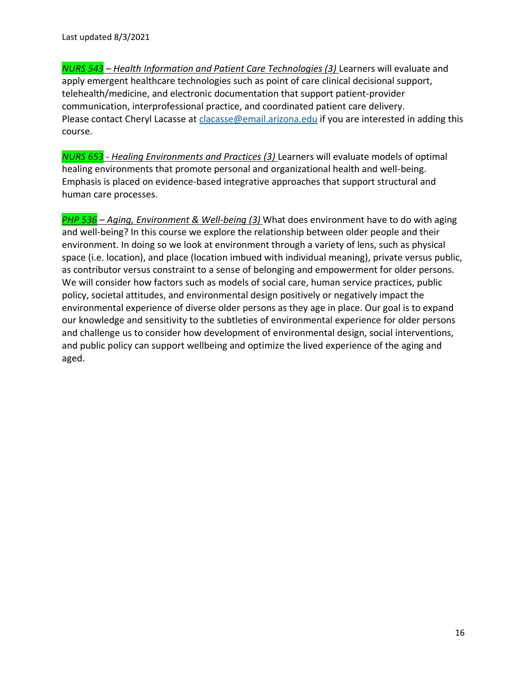*NURS 543* – *Health Information and Patient Care Technologies (3)* Learners will evaluate and apply emergent healthcare technologies such as point of care clinical decisional support, telehealth/medicine, and electronic documentation that support patient-provider communication, interprofessional practice, and coordinated patient care delivery. Please contact Cheryl Lacasse at [clacasse@email.arizona.edu](mailto:clacasse@email.arizona.edu) if you are interested in adding this course.

*NURS 653 - Healing Environments and Practices (3)* Learners will evaluate models of optimal healing environments that promote personal and organizational health and well-being. Emphasis is placed on evidence-based integrative approaches that support structural and human care processes.

*PHP 536 – Aging, Environment & Well-being (3)* What does environment have to do with aging and well-being? In this course we explore the relationship between older people and their environment. In doing so we look at environment through a variety of lens, such as physical space (i.e. location), and place (location imbued with individual meaning), private versus public, as contributor versus constraint to a sense of belonging and empowerment for older persons. We will consider how factors such as models of social care, human service practices, public policy, societal attitudes, and environmental design positively or negatively impact the environmental experience of diverse older persons as they age in place. Our goal is to expand our knowledge and sensitivity to the subtleties of environmental experience for older persons and challenge us to consider how development of environmental design, social interventions, and public policy can support wellbeing and optimize the lived experience of the aging and aged.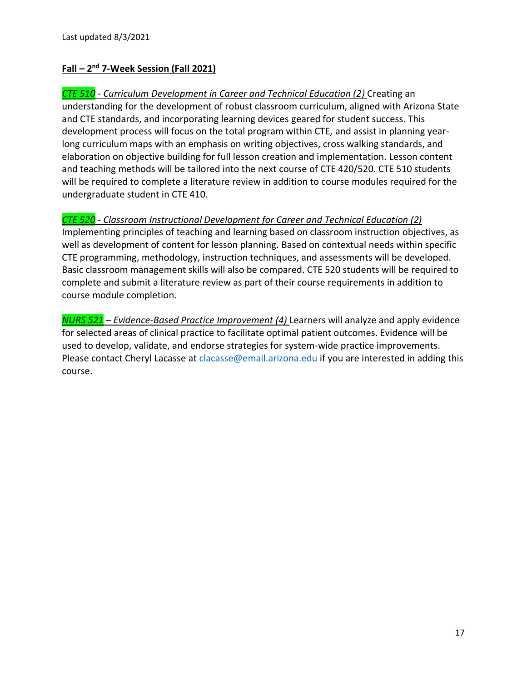# **Fall – 2 nd 7-Week Session (Fall 2021)**

*CTE 510 - Curriculum Development in Career and Technical Education (2)* Creating an understanding for the development of robust classroom curriculum, aligned with Arizona State and CTE standards, and incorporating learning devices geared for student success. This development process will focus on the total program within CTE, and assist in planning yearlong curriculum maps with an emphasis on writing objectives, cross walking standards, and elaboration on objective building for full lesson creation and implementation. Lesson content and teaching methods will be tailored into the next course of CTE 420/520. CTE 510 students will be required to complete a literature review in addition to course modules required for the undergraduate student in CTE 410.

# *CTE 520 - Classroom Instructional Development for Career and Technical Education (2)*

Implementing principles of teaching and learning based on classroom instruction objectives, as well as development of content for lesson planning. Based on contextual needs within specific CTE programming, methodology, instruction techniques, and assessments will be developed. Basic classroom management skills will also be compared. CTE 520 students will be required to complete and submit a literature review as part of their course requirements in addition to course module completion.

*NURS 521 – Evidence-Based Practice Improvement (4)* Learners will analyze and apply evidence for selected areas of clinical practice to facilitate optimal patient outcomes. Evidence will be used to develop, validate, and endorse strategies for system-wide practice improvements. Please contact Cheryl Lacasse at [clacasse@email.arizona.edu](mailto:clacasse@email.arizona.edu) if you are interested in adding this course.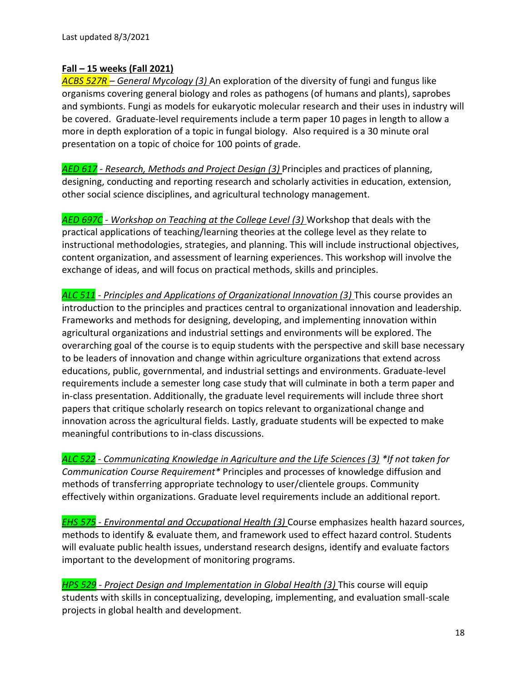### **Fall – 15 weeks (Fall 2021)**

*ACBS 527R – General Mycology (3)* An exploration of the diversity of fungi and fungus like organisms covering general biology and roles as pathogens (of humans and plants), saprobes and symbionts. Fungi as models for eukaryotic molecular research and their uses in industry will be covered. Graduate-level requirements include a term paper 10 pages in length to allow a more in depth exploration of a topic in fungal biology. Also required is a 30 minute oral presentation on a topic of choice for 100 points of grade.

*AED 617 - Research, Methods and Project Design (3)* Principles and practices of planning, designing, conducting and reporting research and scholarly activities in education, extension, other social science disciplines, and agricultural technology management.

*AED 697C - Workshop on Teaching at the College Level (3)* Workshop that deals with the practical applications of teaching/learning theories at the college level as they relate to instructional methodologies, strategies, and planning. This will include instructional objectives, content organization, and assessment of learning experiences. This workshop will involve the exchange of ideas, and will focus on practical methods, skills and principles.

*ALC 511 - Principles and Applications of Organizational Innovation (3)* This course provides an introduction to the principles and practices central to organizational innovation and leadership. Frameworks and methods for designing, developing, and implementing innovation within agricultural organizations and industrial settings and environments will be explored. The overarching goal of the course is to equip students with the perspective and skill base necessary to be leaders of innovation and change within agriculture organizations that extend across educations, public, governmental, and industrial settings and environments. Graduate-level requirements include a semester long case study that will culminate in both a term paper and in-class presentation. Additionally, the graduate level requirements will include three short papers that critique scholarly research on topics relevant to organizational change and innovation across the agricultural fields. Lastly, graduate students will be expected to make meaningful contributions to in-class discussions.

*ALC 522 - Communicating Knowledge in Agriculture and the Life Sciences (3) \*If not taken for Communication Course Requirement\** Principles and processes of knowledge diffusion and methods of transferring appropriate technology to user/clientele groups. Community effectively within organizations. Graduate level requirements include an additional report.

*EHS 575 - Environmental and Occupational Health (3)* Course emphasizes health hazard sources, methods to identify & evaluate them, and framework used to effect hazard control. Students will evaluate public health issues, understand research designs, identify and evaluate factors important to the development of monitoring programs.

*HPS 529 - Project Design and Implementation in Global Health (3) This course will equip* students with skills in conceptualizing, developing, implementing, and evaluation small-scale projects in global health and development.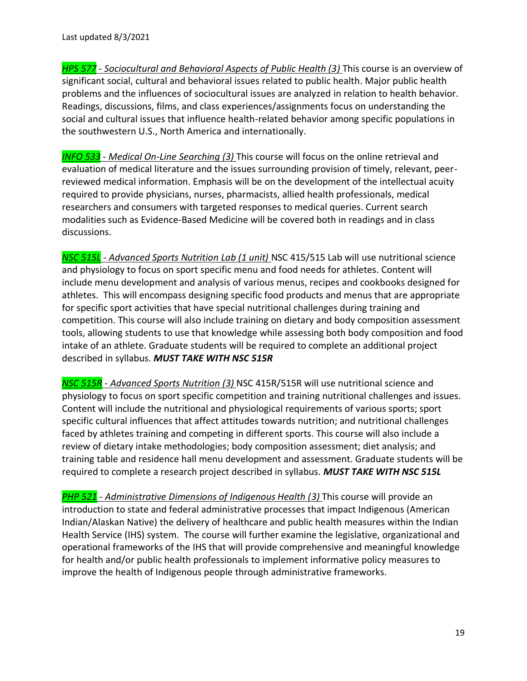*HPS 577 - Sociocultural and Behavioral Aspects of Public Health (3)* This course is an overview of significant social, cultural and behavioral issues related to public health. Major public health problems and the influences of sociocultural issues are analyzed in relation to health behavior. Readings, discussions, films, and class experiences/assignments focus on understanding the social and cultural issues that influence health-related behavior among specific populations in the southwestern U.S., North America and internationally.

*INFO 533 - Medical On-Line Searching (3)* This course will focus on the online retrieval and evaluation of medical literature and the issues surrounding provision of timely, relevant, peerreviewed medical information. Emphasis will be on the development of the intellectual acuity required to provide physicians, nurses, pharmacists, allied health professionals, medical researchers and consumers with targeted responses to medical queries. Current search modalities such as Evidence-Based Medicine will be covered both in readings and in class discussions.

*NSC 515L - Advanced Sports Nutrition Lab (1 unit)* NSC 415/515 Lab will use nutritional science and physiology to focus on sport specific menu and food needs for athletes. Content will include menu development and analysis of various menus, recipes and cookbooks designed for athletes. This will encompass designing specific food products and menus that are appropriate for specific sport activities that have special nutritional challenges during training and competition. This course will also include training on dietary and body composition assessment tools, allowing students to use that knowledge while assessing both body composition and food intake of an athlete. Graduate students will be required to complete an additional project described in syllabus. *MUST TAKE WITH NSC 515R*

*NSC 515R - Advanced Sports Nutrition (3)* NSC 415R/515R will use nutritional science and physiology to focus on sport specific competition and training nutritional challenges and issues. Content will include the nutritional and physiological requirements of various sports; sport specific cultural influences that affect attitudes towards nutrition; and nutritional challenges faced by athletes training and competing in different sports. This course will also include a review of dietary intake methodologies; body composition assessment; diet analysis; and training table and residence hall menu development and assessment. Graduate students will be required to complete a research project described in syllabus. *MUST TAKE WITH NSC 515L*

*PHP 521 - Administrative Dimensions of Indigenous Health (3)* This course will provide an introduction to state and federal administrative processes that impact Indigenous (American Indian/Alaskan Native) the delivery of healthcare and public health measures within the Indian Health Service (IHS) system. The course will further examine the legislative, organizational and operational frameworks of the IHS that will provide comprehensive and meaningful knowledge for health and/or public health professionals to implement informative policy measures to improve the health of Indigenous people through administrative frameworks.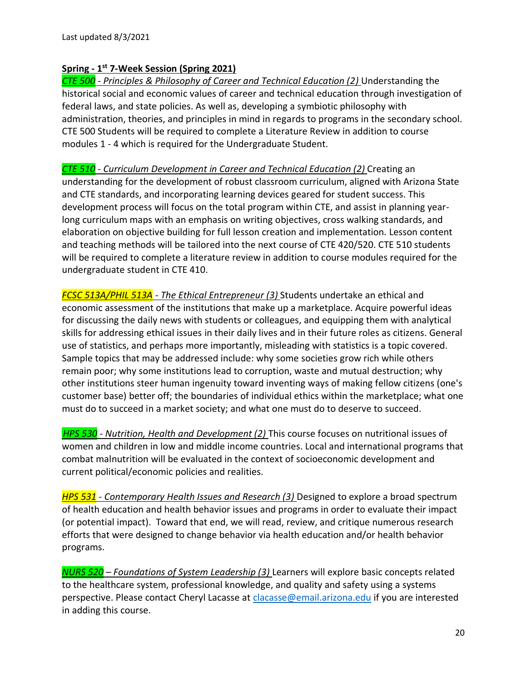# **Spring - 1 st 7-Week Session (Spring 2021)**

*CTE 500 - Principles & Philosophy of Career and Technical Education (2)* Understanding the historical social and economic values of career and technical education through investigation of federal laws, and state policies. As well as, developing a symbiotic philosophy with administration, theories, and principles in mind in regards to programs in the secondary school. CTE 500 Students will be required to complete a Literature Review in addition to course modules 1 - 4 which is required for the Undergraduate Student.

*CTE 510 - Curriculum Development in Career and Technical Education (2)* Creating an understanding for the development of robust classroom curriculum, aligned with Arizona State and CTE standards, and incorporating learning devices geared for student success. This development process will focus on the total program within CTE, and assist in planning yearlong curriculum maps with an emphasis on writing objectives, cross walking standards, and elaboration on objective building for full lesson creation and implementation. Lesson content and teaching methods will be tailored into the next course of CTE 420/520. CTE 510 students will be required to complete a literature review in addition to course modules required for the undergraduate student in CTE 410.

*FCSC 513A/PHIL 513A - The Ethical Entrepreneur (3)* Students undertake an ethical and economic assessment of the institutions that make up a marketplace. Acquire powerful ideas for discussing the daily news with students or colleagues, and equipping them with analytical skills for addressing ethical issues in their daily lives and in their future roles as citizens. General use of statistics, and perhaps more importantly, misleading with statistics is a topic covered. Sample topics that may be addressed include: why some societies grow rich while others remain poor; why some institutions lead to corruption, waste and mutual destruction; why other institutions steer human ingenuity toward inventing ways of making fellow citizens (one's customer base) better off; the boundaries of individual ethics within the marketplace; what one must do to succeed in a market society; and what one must do to deserve to succeed.

*HPS 530 - Nutrition, Health and Development (2)* This course focuses on nutritional issues of women and children in low and middle income countries. Local and international programs that combat malnutrition will be evaluated in the context of socioeconomic development and current political/economic policies and realities.

*HPS 531 - Contemporary Health Issues and Research (3)* Designed to explore a broad spectrum of health education and health behavior issues and programs in order to evaluate their impact (or potential impact). Toward that end, we will read, review, and critique numerous research efforts that were designed to change behavior via health education and/or health behavior programs.

*NURS 520 – Foundations of System Leadership (3)* Learners will explore basic concepts related to the healthcare system, professional knowledge, and quality and safety using a systems perspective. Please contact Cheryl Lacasse a[t clacasse@email.arizona.edu](mailto:clacasse@email.arizona.edu) if you are interested in adding this course.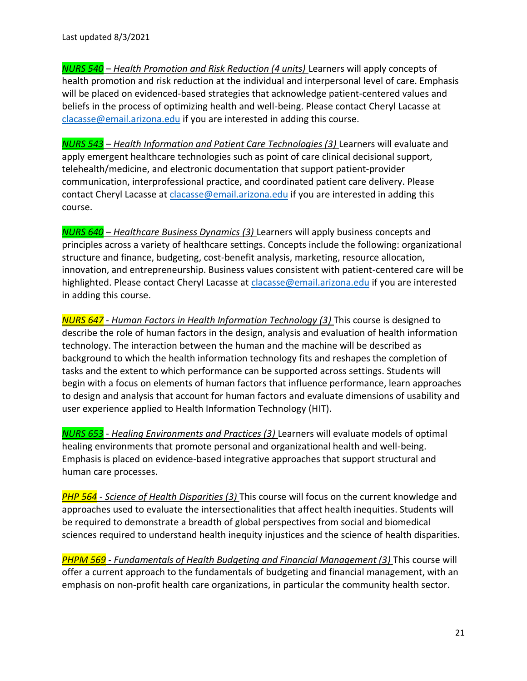*NURS 540 – Health Promotion and Risk Reduction (4 units)* Learners will apply concepts of health promotion and risk reduction at the individual and interpersonal level of care. Emphasis will be placed on evidenced-based strategies that acknowledge patient-centered values and beliefs in the process of optimizing health and well-being. Please contact Cheryl Lacasse at [clacasse@email.arizona.edu](mailto:clacasse@email.arizona.edu) if you are interested in adding this course.

*NURS 543* – *Health Information and Patient Care Technologies (3)* Learners will evaluate and apply emergent healthcare technologies such as point of care clinical decisional support, telehealth/medicine, and electronic documentation that support patient-provider communication, interprofessional practice, and coordinated patient care delivery. Please contact Cheryl Lacasse at [clacasse@email.arizona.edu](mailto:clacasse@email.arizona.edu) if you are interested in adding this course.

*NURS 640 – Healthcare Business Dynamics (3)* Learners will apply business concepts and principles across a variety of healthcare settings. Concepts include the following: organizational structure and finance, budgeting, cost-benefit analysis, marketing, resource allocation, innovation, and entrepreneurship. Business values consistent with patient-centered care will be highlighted. Please contact Cheryl Lacasse at [clacasse@email.arizona.edu](mailto:clacasse@email.arizona.edu) if you are interested in adding this course.

*NURS 647 - Human Factors in Health Information Technology (3)* This course is designed to describe the role of human factors in the design, analysis and evaluation of health information technology. The interaction between the human and the machine will be described as background to which the health information technology fits and reshapes the completion of tasks and the extent to which performance can be supported across settings. Students will begin with a focus on elements of human factors that influence performance, learn approaches to design and analysis that account for human factors and evaluate dimensions of usability and user experience applied to Health Information Technology (HIT).

*NURS 653 - Healing Environments and Practices (3)* Learners will evaluate models of optimal healing environments that promote personal and organizational health and well-being. Emphasis is placed on evidence-based integrative approaches that support structural and human care processes.

*PHP 564 - Science of Health Disparities (3)* This course will focus on the current knowledge and approaches used to evaluate the intersectionalities that affect health inequities. Students will be required to demonstrate a breadth of global perspectives from social and biomedical sciences required to understand health inequity injustices and the science of health disparities.

**PHPM 569** - Fundamentals of Health Budgeting and Financial Management (3) This course will offer a current approach to the fundamentals of budgeting and financial management, with an emphasis on non-profit health care organizations, in particular the community health sector.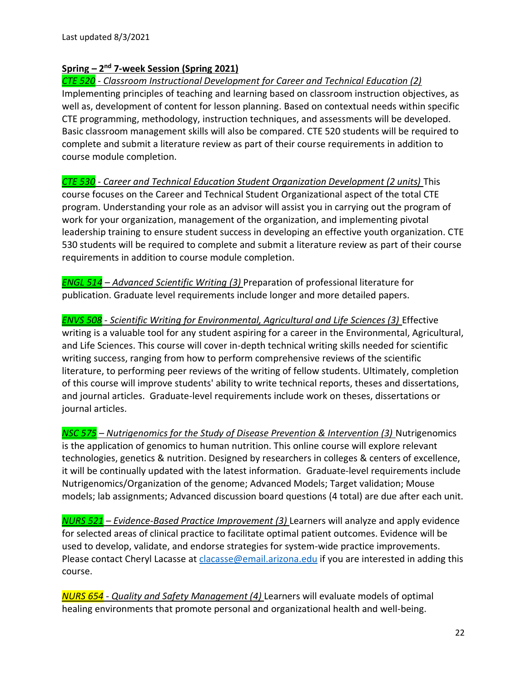# **Spring – 2 nd 7-week Session (Spring 2021)**

*CTE 520 - Classroom Instructional Development for Career and Technical Education (2)*  Implementing principles of teaching and learning based on classroom instruction objectives, as well as, development of content for lesson planning. Based on contextual needs within specific CTE programming, methodology, instruction techniques, and assessments will be developed. Basic classroom management skills will also be compared. CTE 520 students will be required to complete and submit a literature review as part of their course requirements in addition to course module completion.

*CTE 530 - Career and Technical Education Student Organization Development (2 units)* This course focuses on the Career and Technical Student Organizational aspect of the total CTE program. Understanding your role as an advisor will assist you in carrying out the program of work for your organization, management of the organization, and implementing pivotal leadership training to ensure student success in developing an effective youth organization. CTE 530 students will be required to complete and submit a literature review as part of their course requirements in addition to course module completion.

*ENGL 514 – Advanced Scientific Writing (3)* Preparation of professional literature for publication. Graduate level requirements include longer and more detailed papers.

*ENVS 508 - Scientific Writing for Environmental, Agricultural and Life Sciences (3)* Effective writing is a valuable tool for any student aspiring for a career in the Environmental, Agricultural, and Life Sciences. This course will cover in-depth technical writing skills needed for scientific writing success, ranging from how to perform comprehensive reviews of the scientific literature, to performing peer reviews of the writing of fellow students. Ultimately, completion of this course will improve students' ability to write technical reports, theses and dissertations, and journal articles. Graduate-level requirements include work on theses, dissertations or journal articles.

*NSC 575 – Nutrigenomics for the Study of Disease Prevention & Intervention (3)* Nutrigenomics is the application of genomics to human nutrition. This online course will explore relevant technologies, genetics & nutrition. Designed by researchers in colleges & centers of excellence, it will be continually updated with the latest information. Graduate-level requirements include Nutrigenomics/Organization of the genome; Advanced Models; Target validation; Mouse models; lab assignments; Advanced discussion board questions (4 total) are due after each unit.

*NURS 521 – Evidence-Based Practice Improvement (3)* Learners will analyze and apply evidence for selected areas of clinical practice to facilitate optimal patient outcomes. Evidence will be used to develop, validate, and endorse strategies for system-wide practice improvements. Please contact Cheryl Lacasse at [clacasse@email.arizona.edu](mailto:clacasse@email.arizona.edu) if you are interested in adding this course.

*NURS 654 - Quality and Safety Management (4)* Learners will evaluate models of optimal healing environments that promote personal and organizational health and well-being.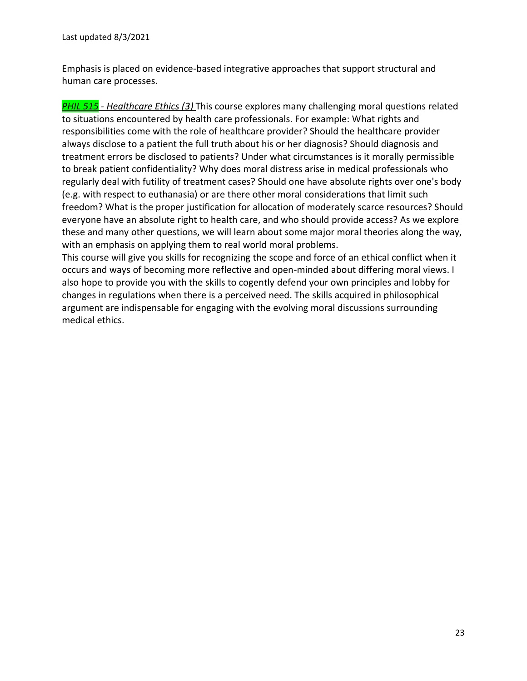Emphasis is placed on evidence-based integrative approaches that support structural and human care processes.

*PHIL 515 - Healthcare Ethics (3)* This course explores many challenging moral questions related to situations encountered by health care professionals. For example: What rights and responsibilities come with the role of healthcare provider? Should the healthcare provider always disclose to a patient the full truth about his or her diagnosis? Should diagnosis and treatment errors be disclosed to patients? Under what circumstances is it morally permissible to break patient confidentiality? Why does moral distress arise in medical professionals who regularly deal with futility of treatment cases? Should one have absolute rights over one's body (e.g. with respect to euthanasia) or are there other moral considerations that limit such freedom? What is the proper justification for allocation of moderately scarce resources? Should everyone have an absolute right to health care, and who should provide access? As we explore these and many other questions, we will learn about some major moral theories along the way, with an emphasis on applying them to real world moral problems.

This course will give you skills for recognizing the scope and force of an ethical conflict when it occurs and ways of becoming more reflective and open-minded about differing moral views. I also hope to provide you with the skills to cogently defend your own principles and lobby for changes in regulations when there is a perceived need. The skills acquired in philosophical argument are indispensable for engaging with the evolving moral discussions surrounding medical ethics.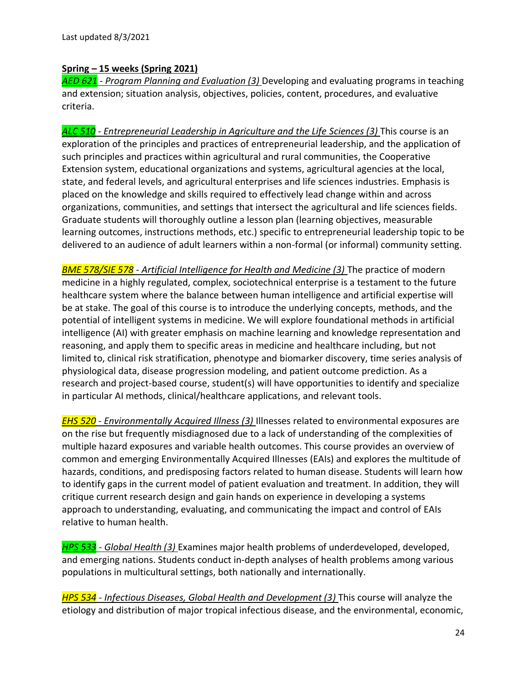### **Spring – 15 weeks (Spring 2021)**

*AED 621 - Program Planning and Evaluation (3)* Developing and evaluating programs in teaching and extension; situation analysis, objectives, policies, content, procedures, and evaluative criteria.

*ALC 510 - Entrepreneurial Leadership in Agriculture and the Life Sciences (3)* This course is an exploration of the principles and practices of entrepreneurial leadership, and the application of such principles and practices within agricultural and rural communities, the Cooperative Extension system, educational organizations and systems, agricultural agencies at the local, state, and federal levels, and agricultural enterprises and life sciences industries. Emphasis is placed on the knowledge and skills required to effectively lead change within and across organizations, communities, and settings that intersect the agricultural and life sciences fields. Graduate students will thoroughly outline a lesson plan (learning objectives, measurable learning outcomes, instructions methods, etc.) specific to entrepreneurial leadership topic to be delivered to an audience of adult learners within a non-formal (or informal) community setting.

*BME 578/SIE 578 - Artificial Intelligence for Health and Medicine (3)* The practice of modern medicine in a highly regulated, complex, sociotechnical enterprise is a testament to the future healthcare system where the balance between human intelligence and artificial expertise will be at stake. The goal of this course is to introduce the underlying concepts, methods, and the potential of intelligent systems in medicine. We will explore foundational methods in artificial intelligence (AI) with greater emphasis on machine learning and knowledge representation and reasoning, and apply them to specific areas in medicine and healthcare including, but not limited to, clinical risk stratification, phenotype and biomarker discovery, time series analysis of physiological data, disease progression modeling, and patient outcome prediction. As a research and project-based course, student(s) will have opportunities to identify and specialize in particular AI methods, clinical/healthcare applications, and relevant tools.

*EHS 520 - Environmentally Acquired Illness (3)* Illnesses related to environmental exposures are on the rise but frequently misdiagnosed due to a lack of understanding of the complexities of multiple hazard exposures and variable health outcomes. This course provides an overview of common and emerging Environmentally Acquired Illnesses (EAIs) and explores the multitude of hazards, conditions, and predisposing factors related to human disease. Students will learn how to identify gaps in the current model of patient evaluation and treatment. In addition, they will critique current research design and gain hands on experience in developing a systems approach to understanding, evaluating, and communicating the impact and control of EAIs relative to human health.

*HPS 533 - Global Health (3)* Examines major health problems of underdeveloped, developed, and emerging nations. Students conduct in-depth analyses of health problems among various populations in multicultural settings, both nationally and internationally.

*HPS 534 - Infectious Diseases, Global Health and Development (3)* This course will analyze the etiology and distribution of major tropical infectious disease, and the environmental, economic,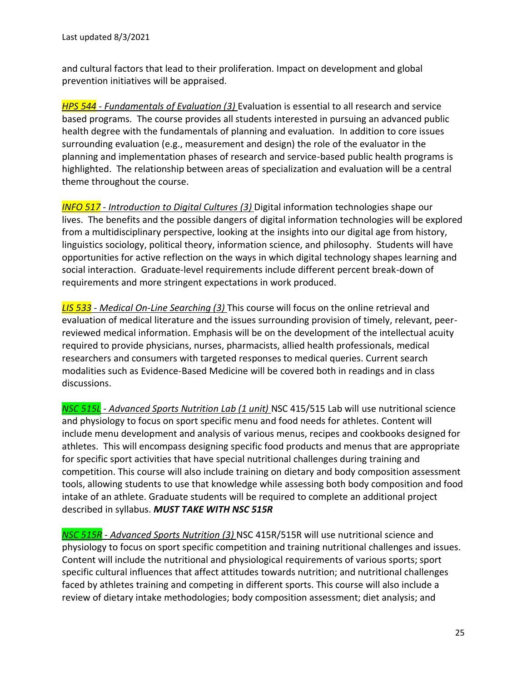and cultural factors that lead to their proliferation. Impact on development and global prevention initiatives will be appraised.

*HPS 544 - Fundamentals of Evaluation (3)* Evaluation is essential to all research and service based programs. The course provides all students interested in pursuing an advanced public health degree with the fundamentals of planning and evaluation. In addition to core issues surrounding evaluation (e.g., measurement and design) the role of the evaluator in the planning and implementation phases of research and service-based public health programs is highlighted. The relationship between areas of specialization and evaluation will be a central theme throughout the course.

*INFO 517 - Introduction to Digital Cultures (3)* Digital information technologies shape our lives. The benefits and the possible dangers of digital information technologies will be explored from a multidisciplinary perspective, looking at the insights into our digital age from history, linguistics sociology, political theory, information science, and philosophy. Students will have opportunities for active reflection on the ways in which digital technology shapes learning and social interaction. Graduate-level requirements include different percent break-down of requirements and more stringent expectations in work produced.

*LIS 533 - Medical On-Line Searching (3)* This course will focus on the online retrieval and evaluation of medical literature and the issues surrounding provision of timely, relevant, peerreviewed medical information. Emphasis will be on the development of the intellectual acuity required to provide physicians, nurses, pharmacists, allied health professionals, medical researchers and consumers with targeted responses to medical queries. Current search modalities such as Evidence-Based Medicine will be covered both in readings and in class discussions.

*NSC 515L - Advanced Sports Nutrition Lab (1 unit)* NSC 415/515 Lab will use nutritional science and physiology to focus on sport specific menu and food needs for athletes. Content will include menu development and analysis of various menus, recipes and cookbooks designed for athletes. This will encompass designing specific food products and menus that are appropriate for specific sport activities that have special nutritional challenges during training and competition. This course will also include training on dietary and body composition assessment tools, allowing students to use that knowledge while assessing both body composition and food intake of an athlete. Graduate students will be required to complete an additional project described in syllabus. *MUST TAKE WITH NSC 515R*

*NSC 515R - Advanced Sports Nutrition (3)* NSC 415R/515R will use nutritional science and physiology to focus on sport specific competition and training nutritional challenges and issues. Content will include the nutritional and physiological requirements of various sports; sport specific cultural influences that affect attitudes towards nutrition; and nutritional challenges faced by athletes training and competing in different sports. This course will also include a review of dietary intake methodologies; body composition assessment; diet analysis; and